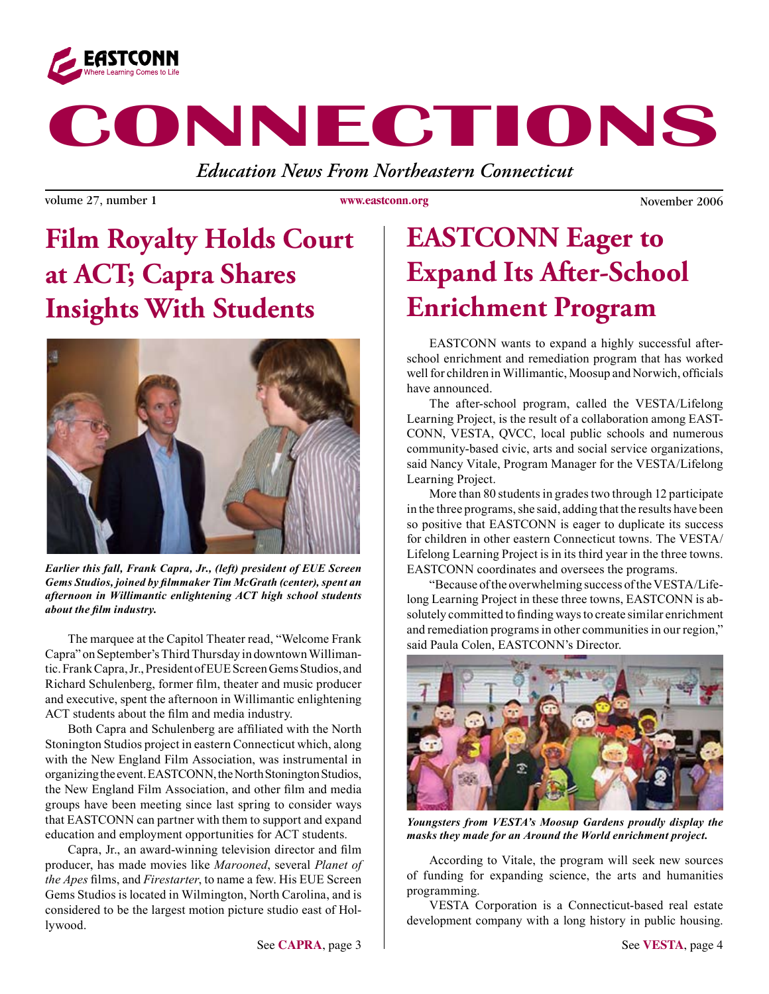

# **CONNECTIONS**

*Education News From Northeastern Connecticut*

volume 27, number 1 and 1 November 2006 www.eastconn.org November 2006

**www.eastconn.org**

## **Film Royalty Holds Court at ACT; Capra Shares Insights With Students**



*Earlier this fall, Frank Capra, Jr., (left) president of EUE Screen Gems Studios, joined by flmmaker Tim McGrath (center), spent an afternoon in Willimantic enlightening ACT high school students about the flm industry.*

The marquee at the Capitol Theater read, "Welcome Frank Capra" on September's Third Thursday in downtown Willimantic. Frank Capra, Jr., President of EUE Screen Gems Studios, and Richard Schulenberg, former flm, theater and music producer and executive, spent the afternoon in Willimantic enlightening ACT students about the flm and media industry.

Both Capra and Schulenberg are affliated with the North Stonington Studios project in eastern Connecticut which, along with the New England Film Association, was instrumental in organizing the event. EASTCONN, the North Stonington Studios, the New England Film Association, and other flm and media groups have been meeting since last spring to consider ways that EASTCONN can partner with them to support and expand education and employment opportunities for ACT students.

Capra, Jr., an award-winning television director and flm producer, has made movies like *Marooned*, several *Planet of the Apes* flms, and *Firestarter*, to name a few. His EUE Screen Gems Studios is located in Wilmington, North Carolina, and is considered to be the largest motion picture studio east of Hollywood.

### **EASTCONN Eager to Expand Its After-School Enrichment Program**

EASTCONN wants to expand a highly successful afterschool enrichment and remediation program that has worked well for children in Willimantic, Moosup and Norwich, officials have announced.

The after-school program, called the VESTA/Lifelong Learning Project, is the result of a collaboration among EAST-CONN, VESTA, QVCC, local public schools and numerous community-based civic, arts and social service organizations, said Nancy Vitale, Program Manager for the VESTA/Lifelong Learning Project.

More than 80 students in grades two through 12 participate in the three programs, she said, adding that the results have been so positive that EASTCONN is eager to duplicate its success for children in other eastern Connecticut towns. The VESTA/ Lifelong Learning Project is in its third year in the three towns. EASTCONN coordinates and oversees the programs.

"Because of the overwhelming success of the VESTA/Lifelong Learning Project in these three towns, EASTCONN is absolutely committed to fnding ways to create similar enrichment and remediation programs in other communities in our region," said Paula Colen, EASTCONN's Director.



*Youngsters from VESTA's Moosup Gardens proudly display the masks they made for an Around the World enrichment project.*

According to Vitale, the program will seek new sources of funding for expanding science, the arts and humanities programming.

VESTA Corporation is a Connecticut-based real estate development company with a long history in public housing.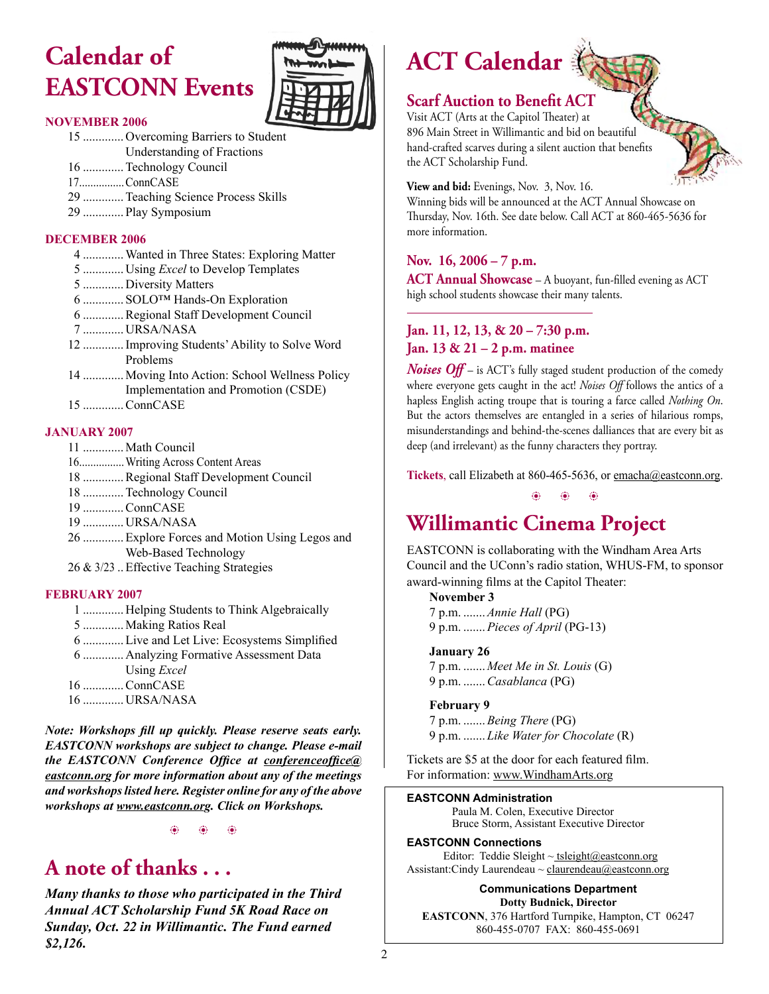### **Calendar of EASTCONN Events**



#### **NOVEMBER 2006**

- 15 ............. Overcoming Barriers to Student
- Understanding of Fractions
- 16 .............Technology Council
- 17................ConnCASE
- 29 .............Teaching Science Process Skills
- 29 ............. Play Symposium

#### **DECEMBER 2006**



#### **JANUARY 2007**

- 11 ............. Math Council
- 16................Writing Across Content Areas
- 18 .............Regional Staff Development Council
- 18 .............Technology Council
- 19 .............ConnCASE
- 19 ............. URSA/NASA
- 26 .............Explore Forces and Motion Using Legos and Web-Based Technology
- 26 & 3/23 ..Effective Teaching Strategies

#### **FEBRUARY 2007**

- 1 ............. Helping Students to Think Algebraically
- 5 ............. Making Ratios Real
- 6 .............Live and Let Live: Ecosystems Simplifed
- 6 ............. Analyzing Formative Assessment Data

Using *Excel*

- 16 .............ConnCASE
- 16 ............. URSA/NASA

*Note: Workshops fll up quickly. Please reserve seats early. EASTCONN workshops are subject to change. Please e-mail the EASTCONN Conference Offce at [conferenceoffce@](mailto:conferenceoffice@eastconn.org) [eastconn.org](mailto:conferenceoffice@eastconn.org) for more information about any of the meetings and workshops listed here. Register online for any of the above workshops at [www.eastconn.or](www.eastconn.org)g. Click on Workshops.*

 $\circledast$  b  $\circledast$ 

### **A note of thanks . . .**

*Many thanks to those who participated in the Third Annual ACT Scholarship Fund 5K Road Race on Sunday, Oct. 22 in Willimantic. The Fund earned \$2,126.*

# **ACT Calendar**



#### **Scarf Auction to Benefit ACT**

Visit ACT (Arts at the Capitol Theater) at 896 Main Street in Willimantic and bid on beautiful hand-crafted scarves during a silent auction that benefits the ACT Scholarship Fund.

**View and bid:** Evenings, Nov. 3, Nov. 16.

Winning bids will be announced at the ACT Annual Showcase on Thursday, Nov. 16th. See date below. Call ACT at 860-465-5636 for more information.

#### **Nov. 16, 2006 – 7 p.m.**

**ACT Annual Showcase** – A buoyant, fun-filled evening as ACT high school students showcase their many talents.

#### **Jan. 11, 12, 13, & 20 – 7:30 p.m. Jan. 13 & 21 – 2 p.m. matinee**

*Noises Off* – is ACT's fully staged student production of the comedy where everyone gets caught in the act! *Noises Off* follows the antics of a hapless English acting troupe that is touring a farce called *Nothing On*. But the actors themselves are entangled in a series of hilarious romps, misunderstandings and behind-the-scenes dalliances that are every bit as deep (and irrelevant) as the funny characters they portray.

Tickets, call Elizabeth at 860-465-5636, or emacha@eastconn.org.

 $\circledast$  b  $\circledast$ 

### **Willimantic Cinema Project**

EASTCONN is collaborating with the Windham Area Arts Council and the UConn's radio station, WHUS-FM, to sponsor award-winning flms at the Capitol Theater:

 **November 3** 7 p.m. .......*Annie Hall* (PG) 9 p.m. .......*Pieces of April* (PG-13)

#### **January 26**

7 p.m. ....... *Meet Me in St. Louis* (G) 9 p.m. .......*Casablanca* (PG)

#### **February 9**

7 p.m. .......*Being There* (PG) 9 p.m. ....... *Like Water for Chocolate* (R)

Tickets are \$5 at the door for each featured flm. For information: www.WindhamArts.org

#### **EASTCONN Administration**

Paula M. Colen, Executive Director Bruce Storm, Assistant Executive Director

#### **EASTCONN Connections**

Editor: Teddie Sleight ~ tsleight@eastconn.org Assistant:Cindy Laurendeau ~ [claurendeau@eastconn.org](mailto:claurendeau@eastconn.org)

**[Communications Department](%20mailto:connections@eastconn.org) Dotty [Budnick](mailto:dbudnick@eastconn.org), Director EASTCONN**, 376 Hartford Turnpike, Hampton, CT 06247 860-455-0707 FAX: 860-455-0691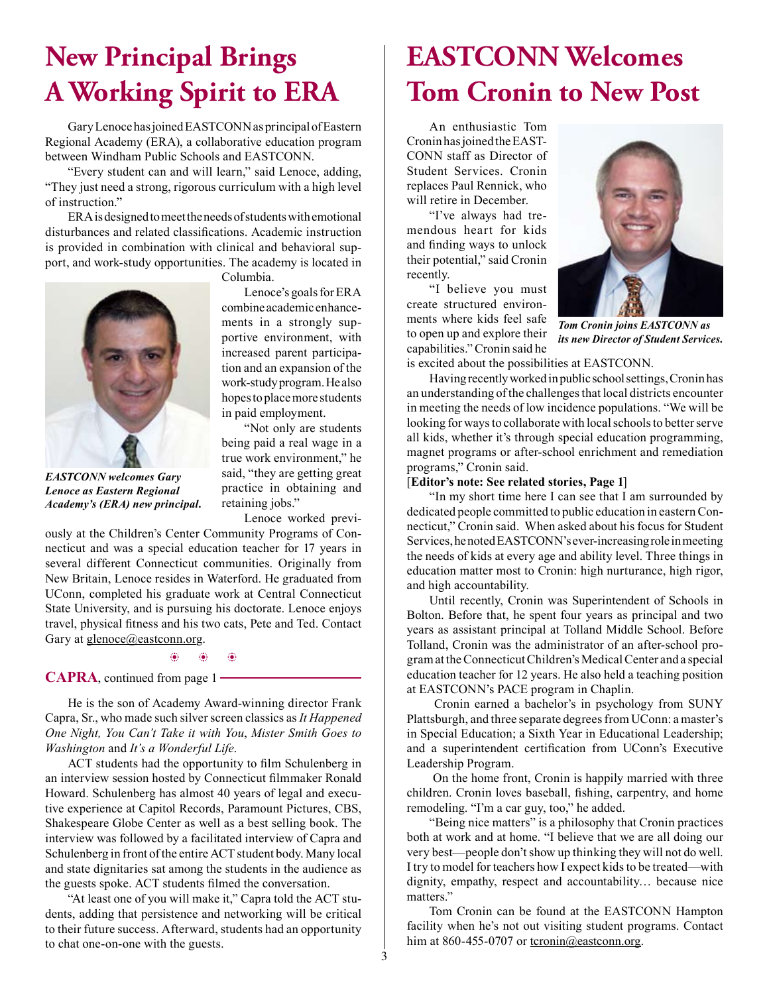### **New Principal Brings A Working Spirit to ERA**

Gary Lenoce has joined EASTCONN as principal of Eastern Regional Academy (ERA), a collaborative education program between Windham Public Schools and EASTCONN.

"Every student can and will learn," said Lenoce, adding, "They just need a strong, rigorous curriculum with a high level of instruction."

ERA is designed to meet the needs of students with emotional disturbances and related classifcations. Academic instruction is provided in combination with clinical and behavioral support, and work-study opportunities. The academy is located in

Columbia.

*EASTCONN welcomes Gary Lenoce as Eastern Regional Academy's (ERA) new principal.*

Lenoce's goals for ERA combine academic enhancements in a strongly supportive environment, with increased parent participation and an expansion of the work-study program. He also hopes to place more students in paid employment.

"Not only are students being paid a real wage in a true work environment," he said, "they are getting great practice in obtaining and retaining jobs."

Lenoce worked previ-

ously at the Children's Center Community Programs of Connecticut and was a special education teacher for 17 years in several different Connecticut communities. Originally from New Britain, Lenoce resides in Waterford. He graduated from UConn, completed his graduate work at Central Connecticut State University, and is pursuing his doctorate. Lenoce enjoys travel, physical ftness and his two cats, Pete and Ted. Contact Gary at [glenoce@eastconn.org](%20http://mailto:glenoce@eastconn.org).

 $\circledast$  b  $\circledast$ 

**CAPRA**, continued from page 1

He is the son of Academy Award-winning director Frank Capra, Sr., who made such silver screen classics as *It Happened One Night, You Can't Take it with You*, *Mister Smith Goes to Washington* and *It's a Wonderful Life*.

ACT students had the opportunity to flm Schulenberg in an interview session hosted by Connecticut flmmaker Ronald Howard. Schulenberg has almost 40 years of legal and executive experience at Capitol Records, Paramount Pictures, CBS, Shakespeare Globe Center as well as a best selling book. The interview was followed by a facilitated interview of Capra and Schulenberg in front of the entire ACT student body. Many local and state dignitaries sat among the students in the audience as the guests spoke. ACT students flmed the conversation.

"At least one of you will make it," Capra told the ACT students, adding that persistence and networking will be critical to their future success. Afterward, students had an opportunity to chat one-on-one with the guests.

### **EASTCONN Welcomes Tom Cronin to New Post**

An enthusiastic Tom Cronin has joined the EAST-CONN staff as Director of Student Services. Cronin replaces Paul Rennick, who will retire in December.

"I've always had tremendous heart for kids and fnding ways to unlock their potential," said Cronin recently.

"I believe you must create structured environments where kids feel safe to open up and explore their capabilities." Cronin said he



*Tom Cronin joins EASTCONN as its new Director of Student Services.*

is excited about the possibilities at EASTCONN.

Having recently worked in public school settings, Cronin has an understanding of the challenges that local districts encounter in meeting the needs of low incidence populations. "We will be looking for ways to collaborate with local schools to better serve all kids, whether it's through special education programming, magnet programs or after-school enrichment and remediation programs," Cronin said.

#### [**Editor's note: See related stories, Page 1**]

"In my short time here I can see that I am surrounded by dedicated people committed to public education in eastern Connecticut," Cronin said. When asked about his focus for Student Services, he noted EASTCONN's ever-increasing role in meeting the needs of kids at every age and ability level. Three things in education matter most to Cronin: high nurturance, high rigor, and high accountability.

Until recently, Cronin was Superintendent of Schools in Bolton. Before that, he spent four years as principal and two years as assistant principal at Tolland Middle School. Before Tolland, Cronin was the administrator of an after-school program at the Connecticut Children's Medical Center and a special education teacher for 12 years. He also held a teaching position at EASTCONN's PACE program in Chaplin.

 Cronin earned a bachelor's in psychology from SUNY Plattsburgh, and three separate degrees from UConn: a master's in Special Education; a Sixth Year in Educational Leadership; and a superintendent certifcation from UConn's Executive Leadership Program.

 On the home front, Cronin is happily married with three children. Cronin loves baseball, fshing, carpentry, and home remodeling. "I'm a car guy, too," he added.

"Being nice matters" is a philosophy that Cronin practices both at work and at home. "I believe that we are all doing our very best—people don't show up thinking they will not do well. I try to model for teachers how I expect kids to be treated—with dignity, empathy, respect and accountability… because nice matters."

Tom Cronin can be found at the EASTCONN Hampton facility when he's not out visiting student programs. Contact him at 860-455-0707 or [tcronin@eastconn.org](mailto:tcronin@eastconn.org).